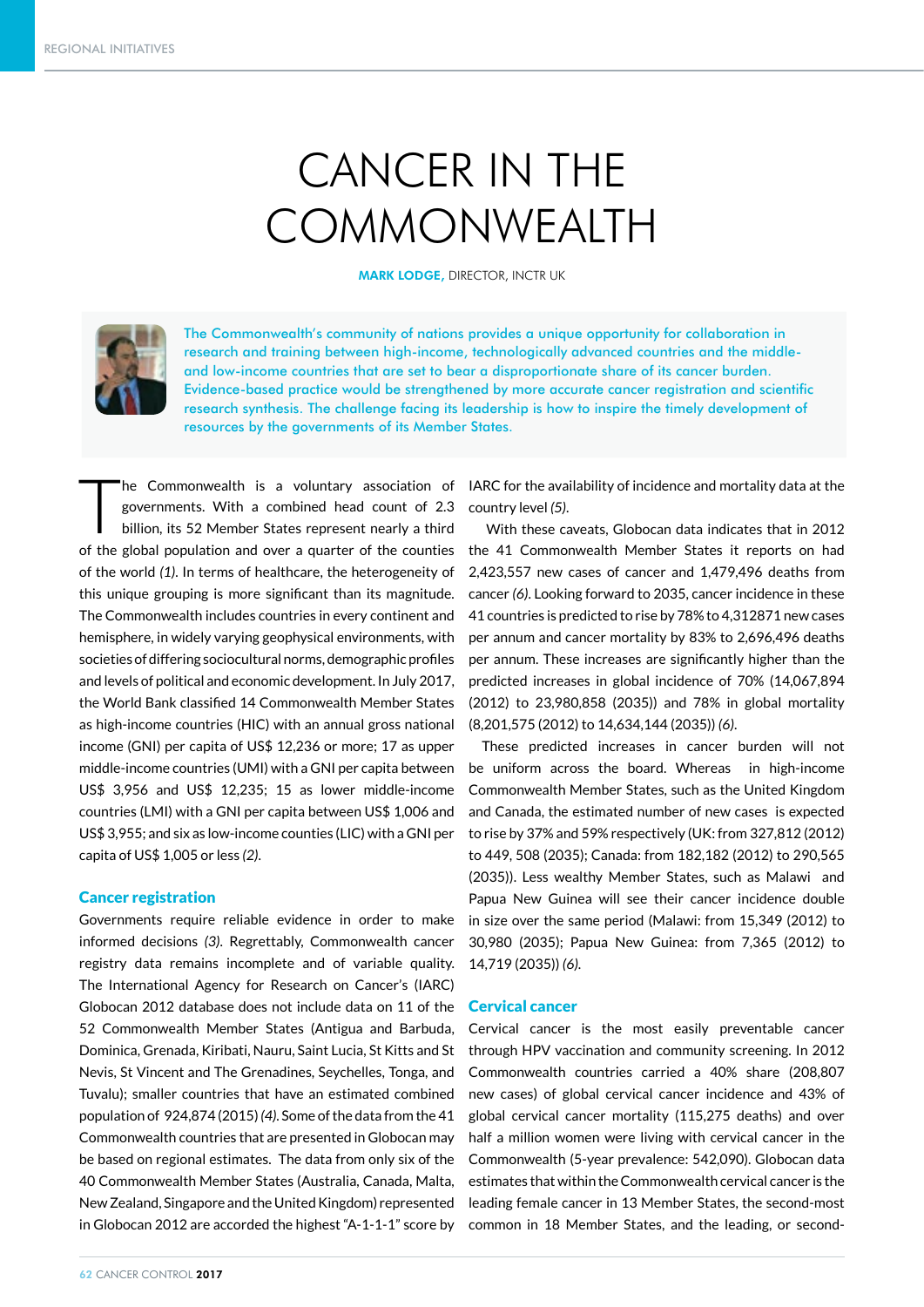# CANCER IN THE COMMONWEALTH

MARK LODGE, DIRECTOR, INCTR UK



The Commonwealth's community of nations provides a unique opportunity for collaboration in research and training between high-income, technologically advanced countries and the middleand low-income countries that are set to bear a disproportionate share of its cancer burden. Evidence-based practice would be strengthened by more accurate cancer registration and scientific research synthesis. The challenge facing its leadership is how to inspire the timely development of resources by the governments of its Member States.

The Commonwealth is a voluntary association of governments. With a combined head count of 2.3 billion, its 52 Member States represent nearly a third governments. With a combined head count of 2.3 billion, its 52 Member States represent nearly a third of the global population and over a quarter of the counties of the world *(1)*. In terms of healthcare, the heterogeneity of this unique grouping is more significant than its magnitude. The Commonwealth includes countries in every continent and hemisphere, in widely varying geophysical environments, with societies of differing sociocultural norms, demographic profiles and levels of political and economic development. In July 2017, the World Bank classified 14 Commonwealth Member States as high-income countries (HIC) with an annual gross national income (GNI) per capita of US\$ 12,236 or more; 17 as upper middle-income countries (UMI) with a GNI per capita between US\$ 3,956 and US\$ 12,235; 15 as lower middle-income countries (LMI) with a GNI per capita between US\$ 1,006 and US\$ 3,955; and six as low-income counties (LIC) with a GNI per capita of US\$ 1,005 or less *(2)*.

## Cancer registration

Governments require reliable evidence in order to make informed decisions *(3)*. Regrettably, Commonwealth cancer registry data remains incomplete and of variable quality. The International Agency for Research on Cancer's (IARC) Globocan 2012 database does not include data on 11 of the 52 Commonwealth Member States (Antigua and Barbuda, Dominica, Grenada, Kiribati, Nauru, Saint Lucia, St Kitts and St Nevis, St Vincent and The Grenadines, Seychelles, Tonga, and Tuvalu); smaller countries that have an estimated combined population of 924,874 (2015) *(4)*. Some of the data from the 41 Commonwealth countries that are presented in Globocan may be based on regional estimates. The data from only six of the 40 Commonwealth Member States (Australia, Canada, Malta, New Zealand, Singapore and the United Kingdom) represented in Globocan 2012 are accorded the highest "A-1-1-1" score by IARC for the availability of incidence and mortality data at the country level *(5)*.

 With these caveats, Globocan data indicates that in 2012 the 41 Commonwealth Member States it reports on had 2,423,557 new cases of cancer and 1,479,496 deaths from cancer *(6)*. Looking forward to 2035, cancer incidence in these 41 countries is predicted to rise by 78% to 4,312871 new cases per annum and cancer mortality by 83% to 2,696,496 deaths per annum. These increases are significantly higher than the predicted increases in global incidence of 70% (14,067,894 (2012) to 23,980,858 (2035)) and 78% in global mortality (8,201,575 (2012) to 14,634,144 (2035)) *(6)*.

These predicted increases in cancer burden will not be uniform across the board. Whereas in high-income Commonwealth Member States, such as the United Kingdom and Canada, the estimated number of new cases is expected to rise by 37% and 59% respectively (UK: from 327,812 (2012) to 449, 508 (2035); Canada: from 182,182 (2012) to 290,565 (2035)). Less wealthy Member States, such as Malawi and Papua New Guinea will see their cancer incidence double in size over the same period (Malawi: from 15,349 (2012) to 30,980 (2035); Papua New Guinea: from 7,365 (2012) to 14,719 (2035)) *(6)*.

#### Cervical cancer

Cervical cancer is the most easily preventable cancer through HPV vaccination and community screening. In 2012 Commonwealth countries carried a 40% share (208,807 new cases) of global cervical cancer incidence and 43% of global cervical cancer mortality (115,275 deaths) and over half a million women were living with cervical cancer in the Commonwealth (5-year prevalence: 542,090). Globocan data estimates that within the Commonwealth cervical cancer is the leading female cancer in 13 Member States, the second-most common in 18 Member States, and the leading, or second-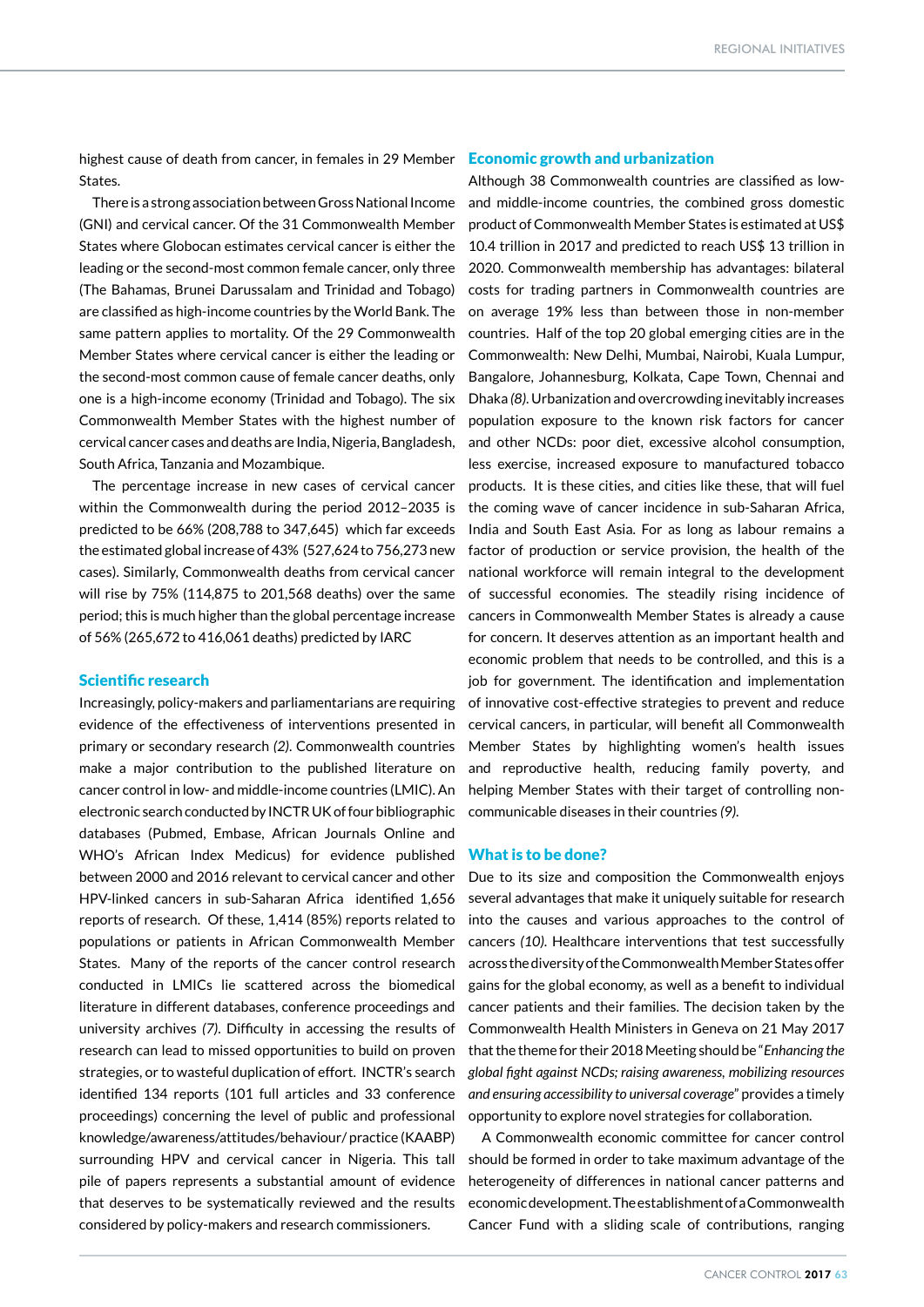highest cause of death from cancer, in females in 29 Member Economic growth and urbanization States.

There is a strong association between Gross National Income (GNI) and cervical cancer. Of the 31 Commonwealth Member States where Globocan estimates cervical cancer is either the leading or the second-most common female cancer, only three (The Bahamas, Brunei Darussalam and Trinidad and Tobago) are classified as high-income countries by the World Bank. The same pattern applies to mortality. Of the 29 Commonwealth Member States where cervical cancer is either the leading or the second-most common cause of female cancer deaths, only one is a high-income economy (Trinidad and Tobago). The six Commonwealth Member States with the highest number of cervical cancer cases and deaths are India, Nigeria, Bangladesh, South Africa, Tanzania and Mozambique.

The percentage increase in new cases of cervical cancer within the Commonwealth during the period 2012–2035 is predicted to be 66% (208,788 to 347,645) which far exceeds the estimated global increase of 43% (527,624 to 756,273 new cases). Similarly, Commonwealth deaths from cervical cancer will rise by 75% (114,875 to 201,568 deaths) over the same period; this is much higher than the global percentage increase of 56% (265,672 to 416,061 deaths) predicted by IARC

#### Scientific research

Increasingly, policy-makers and parliamentarians are requiring evidence of the effectiveness of interventions presented in primary or secondary research *(2)*. Commonwealth countries make a major contribution to the published literature on cancer control in low- and middle-income countries (LMIC). An electronic search conducted by INCTR UK of four bibliographic databases (Pubmed, Embase, African Journals Online and WHO's African Index Medicus) for evidence published between 2000 and 2016 relevant to cervical cancer and other HPV-linked cancers in sub-Saharan Africa identified 1,656 reports of research. Of these, 1,414 (85%) reports related to populations or patients in African Commonwealth Member States. Many of the reports of the cancer control research conducted in LMICs lie scattered across the biomedical literature in different databases, conference proceedings and university archives *(7)*. Difficulty in accessing the results of research can lead to missed opportunities to build on proven strategies, or to wasteful duplication of effort. INCTR's search identified 134 reports (101 full articles and 33 conference proceedings) concerning the level of public and professional knowledge/awareness/attitudes/behaviour/ practice (KAABP) surrounding HPV and cervical cancer in Nigeria. This tall pile of papers represents a substantial amount of evidence that deserves to be systematically reviewed and the results considered by policy-makers and research commissioners.

Although 38 Commonwealth countries are classified as lowand middle-income countries, the combined gross domestic product of Commonwealth Member States is estimated at US\$ 10.4 trillion in 2017 and predicted to reach US\$ 13 trillion in 2020. Commonwealth membership has advantages: bilateral costs for trading partners in Commonwealth countries are on average 19% less than between those in non-member countries. Half of the top 20 global emerging cities are in the Commonwealth: New Delhi, Mumbai, Nairobi, Kuala Lumpur, Bangalore, Johannesburg, Kolkata, Cape Town, Chennai and Dhaka *(8)*. Urbanization and overcrowding inevitably increases population exposure to the known risk factors for cancer and other NCDs: poor diet, excessive alcohol consumption, less exercise, increased exposure to manufactured tobacco products. It is these cities, and cities like these, that will fuel the coming wave of cancer incidence in sub-Saharan Africa, India and South East Asia. For as long as labour remains a factor of production or service provision, the health of the national workforce will remain integral to the development of successful economies. The steadily rising incidence of cancers in Commonwealth Member States is already a cause for concern. It deserves attention as an important health and economic problem that needs to be controlled, and this is a job for government. The identification and implementation of innovative cost-effective strategies to prevent and reduce cervical cancers, in particular, will benefit all Commonwealth Member States by highlighting women's health issues and reproductive health, reducing family poverty, and helping Member States with their target of controlling noncommunicable diseases in their countries *(9)*.

#### What is to be done?

Due to its size and composition the Commonwealth enjoys several advantages that make it uniquely suitable for research into the causes and various approaches to the control of cancers *(10)*. Healthcare interventions that test successfully across the diversity of the Commonwealth Member States offer gains for the global economy, as well as a benefit to individual cancer patients and their families. The decision taken by the Commonwealth Health Ministers in Geneva on 21 May 2017 that the theme for their 2018 Meeting should be "*Enhancing the global fight against NCDs; raising awareness, mobilizing resources and ensuring accessibility to universal coverage*" provides a timely opportunity to explore novel strategies for collaboration.

A Commonwealth economic committee for cancer control should be formed in order to take maximum advantage of the heterogeneity of differences in national cancer patterns and economic development. The establishment of a Commonwealth Cancer Fund with a sliding scale of contributions, ranging